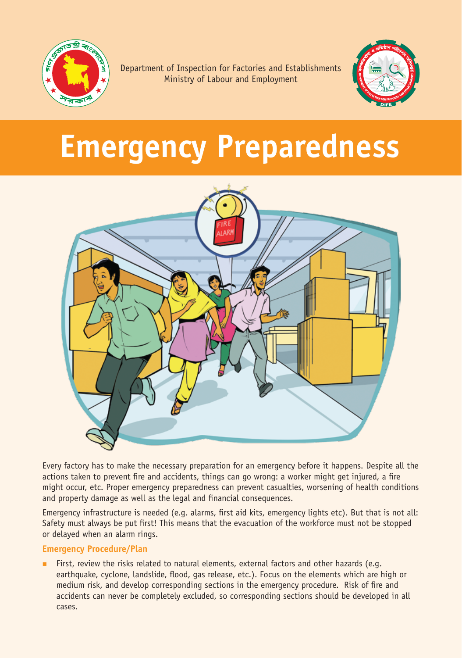

Department of Inspection for Factories and Establishments Ministry of Labour and Employment



# **Emergency Preparedness**



Every factory has to make the necessary preparation for an emergency before it happens. Despite all the actions taken to prevent fire and accidents, things can go wrong: a worker might get injured, a fire might occur, etc. Proper emergency preparedness can prevent casualties, worsening of health conditions and property damage as well as the legal and financial consequences.

Emergency infrastructure is needed (e.g. alarms, first aid kits, emergency lights etc). But that is not all: Safety must always be put first! This means that the evacuation of the workforce must not be stopped or delayed when an alarm rings.

## **Emergency Procedure/Plan**

 First, review the risks related to natural elements, external factors and other hazards (e.g. earthquake, cyclone, landslide, flood, gas release, etc.). Focus on the elements which are high or medium risk, and develop corresponding sections in the emergency procedure. Risk of fire and accidents can never be completely excluded, so corresponding sections should be developed in all cases.